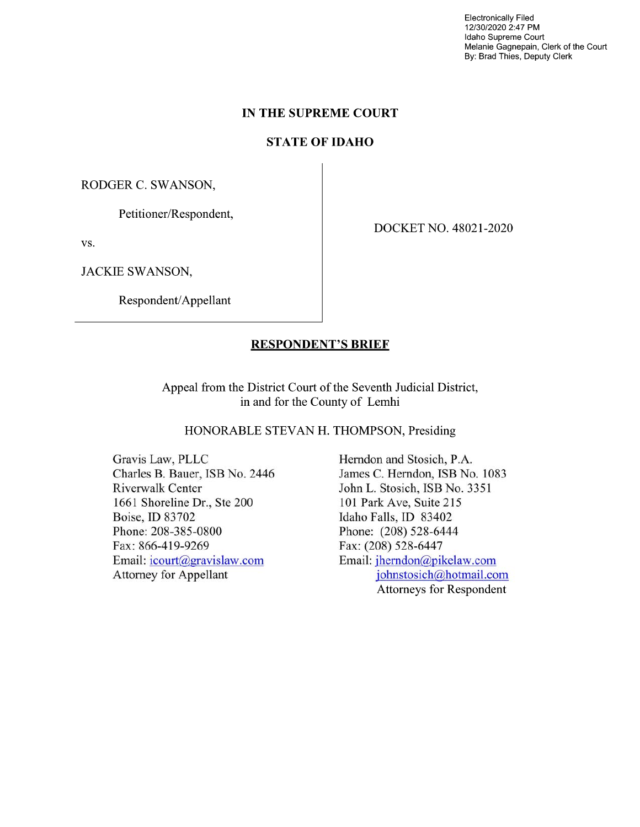Electronically Filed 12/30/2020 2:47 PM Idaho Supreme Court Melanie Gagnepain, Clerk of the Court By: Brad Thies, Deputy Clerk

### IN THE SUPREME COURT

# STATE OF IDAHO

RODGER C. SWANSON,

Petitioner/Respondent,

vs.

JACKIE SWANSON,

Respondent/Appellant

DOCKET NO. 48021-2020

## RESPONDENT'S BRIEF

Appeal from the District Court 0f the Seventh Judicial District, in and for the County 0f Lemhi

HONORABLE STEVAN H. THOMPSON, Presiding

Gravis Law, PLLC Herndon and Stosich, P.A. Riverwalk Center John L. Stosich, ISB No. 3351 1661 Shoreline Dr., Ste 200 101 Park Ave, Suite 215 Boise, ID 83702 Idaho Falls, ID 83402 Phone: 208-385-0800 Phone: (208) 528-6444 Fax: 866-419-9269 Fax: (208) 528-6447 Email: icourt@gravislaw.com Email: jherndon@pikelaw.com

Charles B. Bauer, ISB No. 2446 James C. Herndon, ISB No. 1083 Attorney for Appellant iohnstosich@hotmail.com Attorneys for Respondent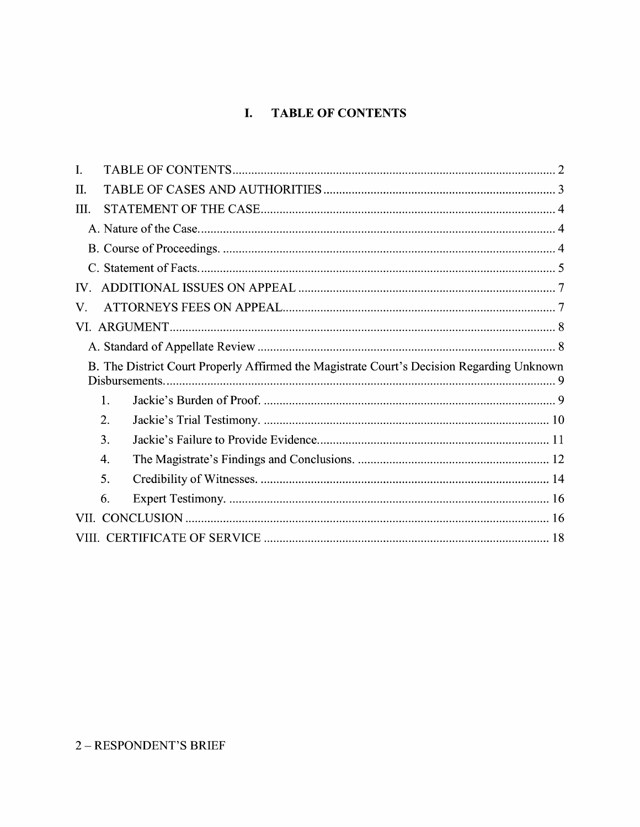# I. TABLE OF CONTENTS

| $\mathbf{I}$ . |                                                                                                             |  |
|----------------|-------------------------------------------------------------------------------------------------------------|--|
| H.             |                                                                                                             |  |
| III.           |                                                                                                             |  |
|                |                                                                                                             |  |
|                |                                                                                                             |  |
|                |                                                                                                             |  |
| IV.            |                                                                                                             |  |
| V.             |                                                                                                             |  |
|                |                                                                                                             |  |
|                |                                                                                                             |  |
|                |                                                                                                             |  |
|                | B. The District Court Properly Affirmed the Magistrate Court's Decision Regarding Unknown<br>Disbursements. |  |
|                | 1.                                                                                                          |  |
|                | 2.                                                                                                          |  |
|                | 3.                                                                                                          |  |
|                | 4.                                                                                                          |  |
|                | 5.                                                                                                          |  |
|                | 6.                                                                                                          |  |
| VII.           |                                                                                                             |  |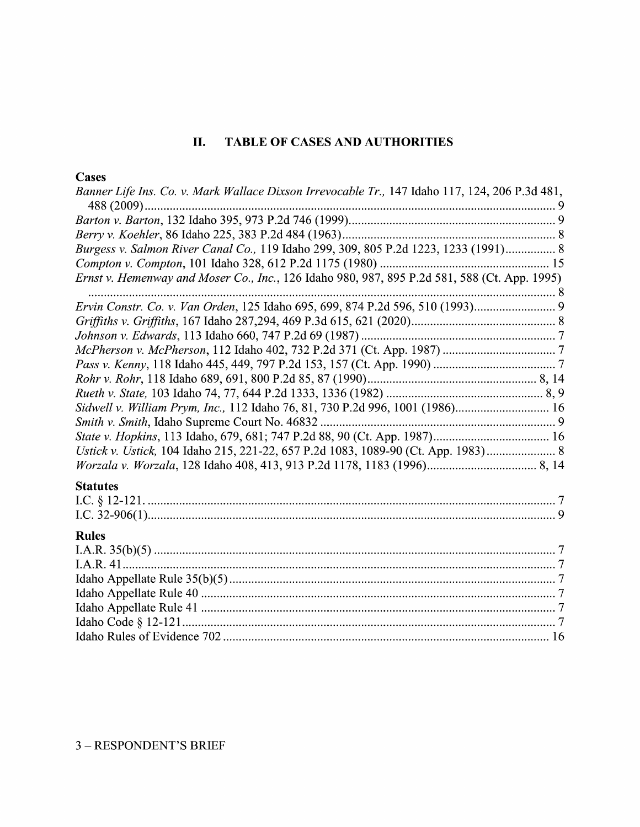# II. TABLE OF CASES AND AUTHORITIES

# **Cases**

| Banner Life Ins. Co. v. Mark Wallace Dixson Irrevocable Tr., 147 Idaho 117, 124, 206 P.3d 481, |
|------------------------------------------------------------------------------------------------|
|                                                                                                |
|                                                                                                |
|                                                                                                |
| Burgess v. Salmon River Canal Co., 119 Idaho 299, 309, 805 P.2d 1223, 1233 (1991) 8            |
|                                                                                                |
| Ernst v. Hemenway and Moser Co., Inc., 126 Idaho 980, 987, 895 P.2d 581, 588 (Ct. App. 1995)   |
| Ervin Constr. Co. v. Van Orden, 125 Idaho 695, 699, 874 P.2d 596, 510 (1993)                   |
|                                                                                                |
|                                                                                                |
|                                                                                                |
|                                                                                                |
|                                                                                                |
|                                                                                                |
| Sidwell v. William Prym, Inc., 112 Idaho 76, 81, 730 P.2d 996, 1001 (1986) 16                  |
|                                                                                                |
|                                                                                                |
| Ustick v. Ustick, 104 Idaho 215, 221-22, 657 P.2d 1083, 1089-90 (Ct. App. 1983) 8              |
|                                                                                                |
| <b>Statutes</b>                                                                                |
|                                                                                                |
|                                                                                                |
| <b>Rules</b>                                                                                   |
|                                                                                                |
|                                                                                                |
|                                                                                                |
|                                                                                                |
|                                                                                                |
|                                                                                                |
|                                                                                                |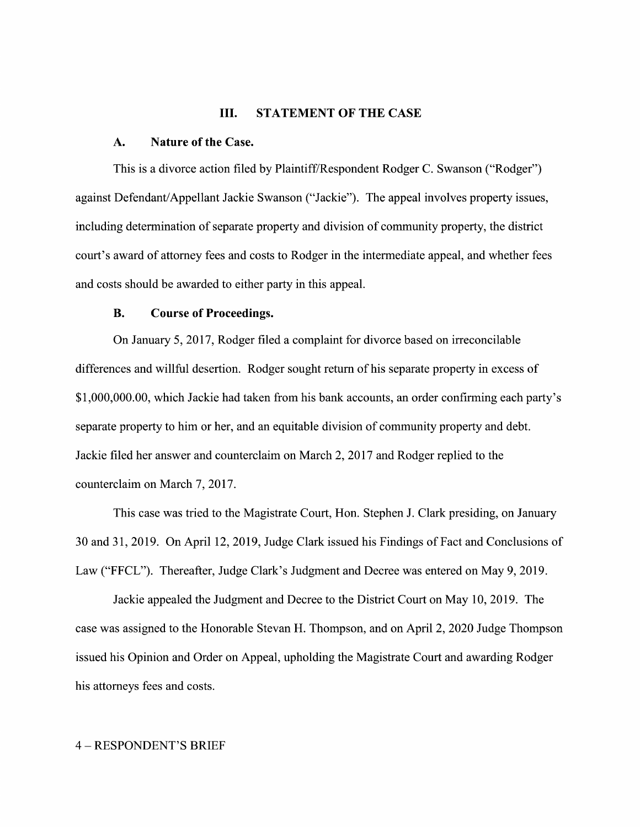#### III. STATEMENT OF THE CASE

#### A. Nature 0f the Case.

This is a divorce action filed by Plaintiff/Respondent Rodger C. Swanson ("Rodger") against Defendant/Appellant Jackie Swanson ("Jackie"). The appeal involves property issues, including determination of separate property and division 0f community property, the district court's award 0f attorney fees and costs t0 Rodger in the intermediate appeal, and Whether fees and costs should be awarded to either party in this appeal.

### B. Course 0f Proceedings.

On January 5, 2017, Rodger filed a complaint for divorce based on irreconcilable differences and willful desertion. Rodger sought return of his separate property in excess of \$1,000,000.00, Which Jackie had taken from his bank accounts, an order confirming each party's separate property to him or her, and an equitable division of community property and debt. Jackie filed her answer and counterclaim on March 2, 2017 and Rodger replied to the counterclaim on March 7, 2017.

This case was tried to the Magistrate Court, Hon. Stephen J. Clark presiding, on January 30 and 31, 2019. On April 12, 2019, Judge Clark issued his Findings of Fact and Conclusions of Law ("FFCL"). Thereafter, Judge Clark's Judgment and Decree was entered 0n May 9, 2019.

Jackie appealed the Judgment and Decree to the District Court on May 10, 2019. The case was assigned t0 the Honorable Stevan H. Thompson, and on April 2, <sup>2020</sup> Judge Thompson issued his Opinion and Order 0n Appeal, upholding the Magistrate Court and awarding Rodger his attorneys fees and costs.

#### 4 – RESPONDENT'S BRIEF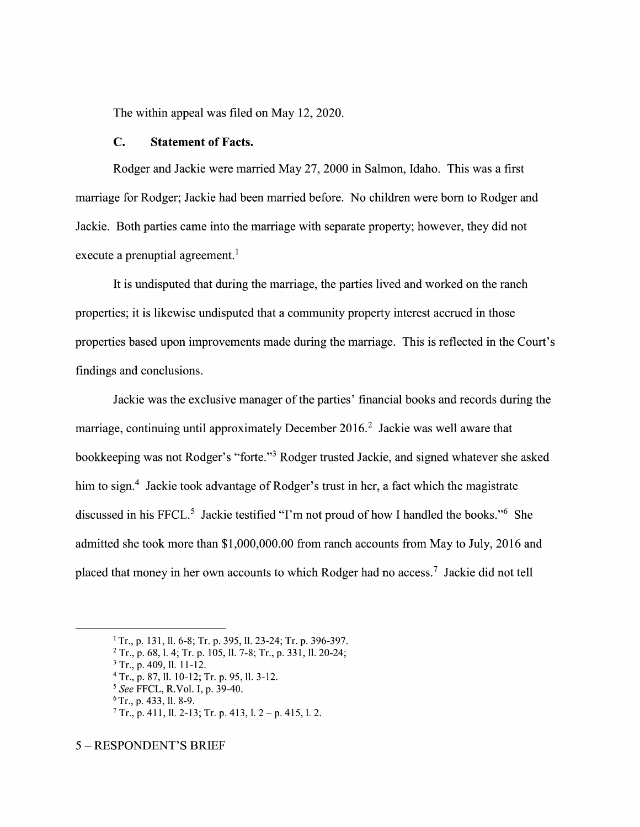The within appeal was filed on May 12, 2020.

### C. Statement 0f Facts.

Rodger and Jackie were married May 27, 2000 in Salmon, Idaho. This was a first marriage for Rodger; Jackie had been married before. No children were born to Rodger and Jackie. Both parties came into the marriage With separate property; however, they did not execute a prenuptial agreement.<sup>1</sup>

It is undisputed that during the marriage, the parties lived and worked 0n the ranch properties; it is likewise undisputed that community property interest accrued in those properties based upon improvements made during the marriage. This is reflected in the Court's findings and conclusions.

Jackie was the exclusive manager 0f the parties' financial books and records during the marriage, continuing until approximately December  $2016<sup>2</sup>$  Jackie was well aware that bookkeeping was not Rodger's "forte."<sup>3</sup> Rodger trusted Jackie, and signed whatever she asked him to sign.<sup>4</sup> Jackie took advantage of Rodger's trust in her, a fact which the magistrate discussed in his FFCL.<sup>5</sup> Jackie testified "I'm not proud of how I handled the books."<sup>6</sup> She admitted she took more than \$1,000,000.00 from ranch accounts from May t0 July, 2016 and placed that money in her own accounts to which Rodger had no access.<sup>7</sup> Jackie did not tell

<sup>&</sup>lt;sup>1</sup> Tr., p. 131, ll. 6-8; Tr. p. 395, ll. 23-24; Tr. p. 396-397.

 $2$  Tr., p. 68, 1. 4; Tr. p. 105, 11. 7-8; Tr., p. 331, 11. 20-24;

 $3$  Tr., p. 409, ll. 11-12.

<sup>&</sup>lt;sup>4</sup> Tr., p. 87, ll. 10-12; Tr. p. 95, ll. 3-12.

See FFCL, R.V01. I, p. 39-40.

 $6$ Tr., p. 433, ll. 8-9.

 $7$  Tr., p. 411, ll. 2-13; Tr. p. 413, l. 2 – p. 415, l. 2.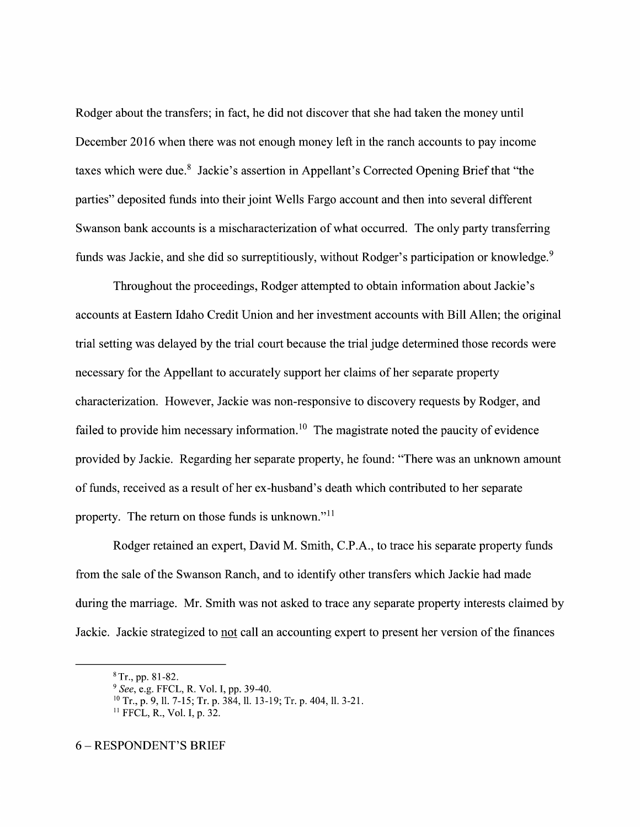Rodger about the transfers; in fact, he did not discover that she had taken the money until December 2016 when there was not enough money left in the ranch accounts to pay income taxes which were due.<sup>8</sup> Jackie's assertion in Appellant's Corrected Opening Brief that "the parties" deposited funds into their joint Wells Fargo account and then into several different Swanson bank accounts is a mischaracterization of what occurred. The only party transferring funds was Jackie, and she did so surreptitiously, without Rodger's participation or knowledge.<sup>9</sup>

Throughout the proceedings, Rodger attempted to obtain information about Jackie's accounts at Eastern Idaho Credit Union and her investment accounts with Bill Allen; the original trial setting was delayed by the trial court because the trial judge determined those records were necessary for the Appellant to accurately support her claims of her separate property characterization. However, Jackie was non-responsive to discovery requests by Rodger, and failed to provide him necessary information.<sup>10</sup> The magistrate noted the paucity of evidence provided by Jackie. Regarding her separate property, he found: "There was an unknown amount of funds, received as a result of her ex-husband's death which contributed to her separate property. The return on those funds is unknown."<sup>11</sup>

Rodger retained an expert, David M. Smith, C.P.A., to trace his separate property funds from the sale of the Swanson Ranch, and to identify other transfers Which Jackie had made during the marriage. Mr. Smith was not asked to trace any separate property interests claimed by Jackie. Jackie strategized to not call an accounting expert to present her version of the finances

 $8$  Tr., pp. 81-82.

<sup>&</sup>lt;sup>9</sup> See, e.g. FFCL, R. Vol. I, pp. 39-40.

<sup>&</sup>lt;sup>10</sup> Tr., p. 9, ll. 7-15; Tr. p. 384, ll. 13-19; Tr. p. 404, ll. 3-21.

<sup>11</sup> FFCL, R., Vol. I, p. 32.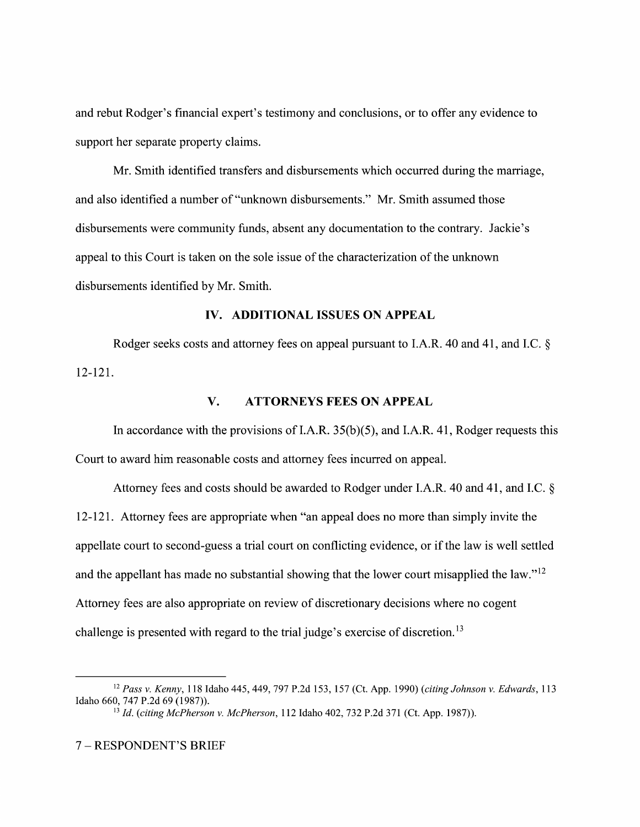and rebut Rodger's financial expert's testimony and conclusions, or to offer any evidence to support her separate property claims.

Mr. Smith identified transfers and disbursements Which occurred during the marriage, and also identified a number of "unknown disbursements." Mr. Smith assumed those disbursements were community funds, absent any documentation to the contrary. Jackie's appeal to this Court is taken on the sole issue of the characterization of the unknown disbursements identified by Mr. Smith.

#### IV. ADDITIONAL ISSUES ON APPEAL

Rodger seeks costs and attorney fees on appeal pursuant to I.A.R. 40 and 41, and I.C.  $\S$ 12-121.

#### V. ATTORNEYS FEES ON APPEAL

In accordance with the provisions of I.A.R. 35(b)(5), and I.A.R. 41, Rodger requests this Court to award him reasonable costs and attorney fees incurred on appeal.

Attorney fees and costs should be awarded to Rodger under I.A.R. 40 and 41, and I.C. 12-121. Attorney fees are appropriate when "an appeal does no more than simply invite the appellate court to second-guess a trial court on conflicting evidence, or if the law is well settled and the appellant has made no substantial showing that the lower court misapplied the law." $^{12}$ Attorney fees are also appropriate on review of discretionary decisions where no cogent challenge is presented with regard to the trial judge's exercise of discretion.<sup>13</sup>

<sup>&</sup>lt;sup>12</sup> Pass v. Kenny, 118 Idaho 445, 449, 797 P.2d 153, 157 (Ct. App. 1990) (citing Johnson v. Edwards, 113 Idaho 660, 747 P.2d 69 (1987)).

 $^{13}$  Id. (citing McPherson v. McPherson, 112 Idaho 402, 732 P.2d 371 (Ct. App. 1987)).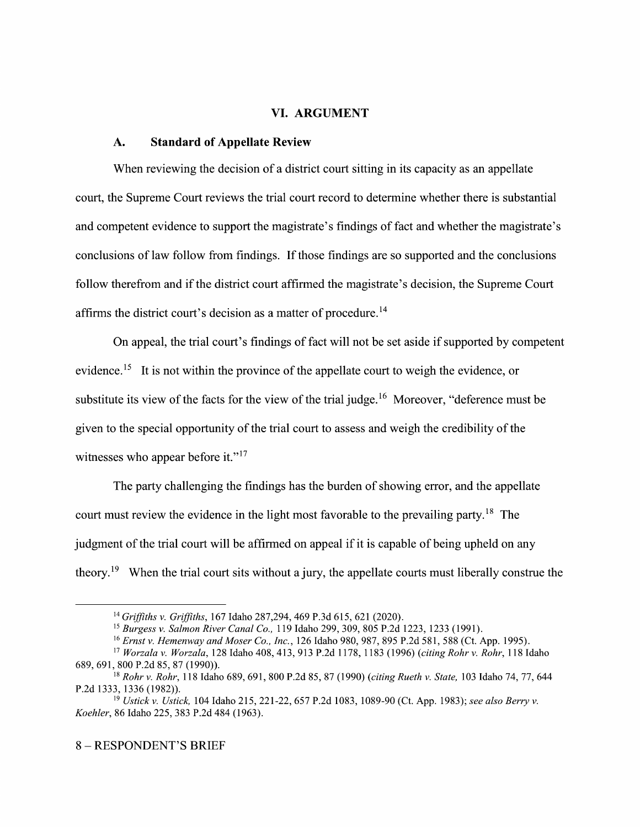#### VI. ARGUMENT

#### A. Standard of Appellate Review

When reviewing the decision of a district court sitting in its capacity as an appellate court, the Supreme Court reviews the trial court record to determine whether there is substantial and competent evidence to support the magistrate's findings of fact and whether the magistrate's conclusions of law follow from findings. If those findings are so supported and the conclusions follow therefrom and if the district court affirmed the magistrate's decision, the Supreme Court affirms the district court's decision as a matter of procedure.<sup>14</sup>

On appeal, the trial court's findings 0f fact will not be set aside if supported by competent evidence.<sup>15</sup> It is not within the province of the appellate court to weigh the evidence, or substitute its view of the facts for the view of the trial judge.<sup>16</sup> Moreover, "deference must be given to the special opportunity of the trial court to assess and weigh the credibility of the witnesses who appear before it."<sup>17</sup>

The party challenging the findings has the burden of showing error, and the appellate court must review the evidence in the light most favorable to the prevailing party.<sup>18</sup> The judgment of the trial court will be affirmed on appeal if it is capable of being upheld on any theory.<sup>19</sup> When the trial court sits without a jury, the appellate courts must liberally construe the

<sup>14</sup> Griffiths v. Griffiths, 167 Idaho 287,294, 469 P.3d 615, 621 (2020).

<sup>&</sup>lt;sup>15</sup> Burgess v. Salmon River Canal Co., 119 Idaho 299, 309, 805 P.2d 1223, 1233 (1991).

<sup>&</sup>lt;sup>16</sup> Ernst v. Hemenway and Moser Co., Inc., 126 Idaho 980, 987, 895 P.2d 581, 588 (Ct. App. 1995).

<sup>17</sup> Worzala v. Worzala, 128 Idaho 408, 413, 913 P.2d 1178, 1183 (1996) (citing Rohr v. Rohr, 118 Idaho 689, 691, 800 P.2d 85, 87 (1990)).

<sup>&</sup>lt;sup>18</sup> Rohr v. Rohr, 118 Idaho 689, 691, 800 P.2d 85, 87 (1990) (citing Rueth v. State, 103 Idaho 74, 77, 644 P.2d 1333, 1336 (1982)).

<sup>&</sup>lt;sup>19</sup> Ustick v. Ustick, 104 Idaho 215, 221-22, 657 P.2d 1083, 1089-90 (Ct. App. 1983); see also Berry v. Koehler, 86 Idaho 225, 383 P.2d 484 (1963).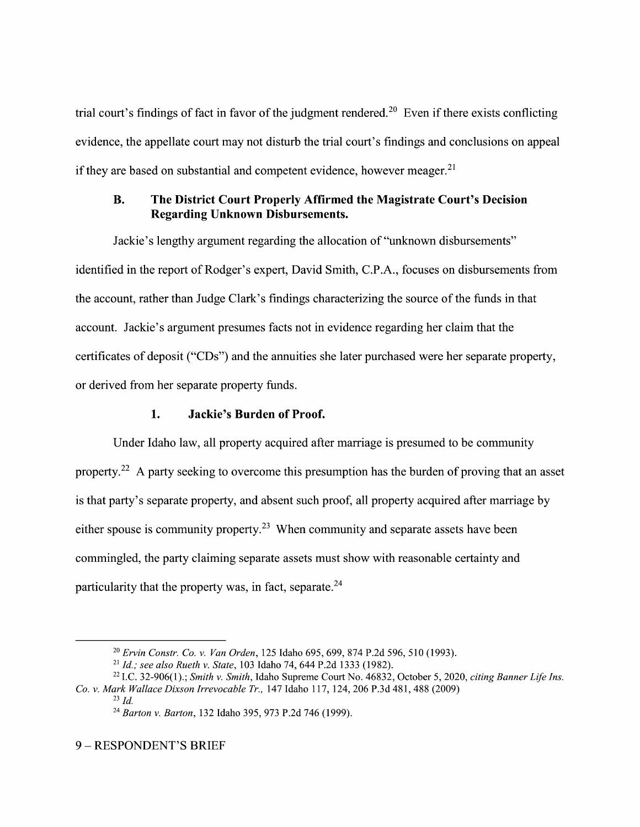trial court's findings of fact in favor of the judgment rendered.<sup>20</sup> Even if there exists conflicting evidence, the appellate court may not disturb the trial court's findings and conclusions 0n appeal if they are based on substantial and competent evidence, however meager. $2<sup>1</sup>$ 

# B. The District Court Properly Affirmed the Magistrate Court's Decision Regarding Unknown Disbursements.

Jackie's lengthy argument regarding the allocation 0f "unknown disbursements" identified in the report of Rodger's expert, David Smith, C.P.A., focuses on disbursements from the account, rather than Judge Clark's findings characterizing the source 0f the funds in that account. Jackie's argument presumes facts not in evidence regarding her claim that the certificates 0f deposit ("CD3") and the annuities she later purchased were her separate property, 0r derived from her separate property funds.

# 1. Jackie's Burden 0f Proof.

Under Idaho law, all property acquired after marriage is presumed t0 be community property.<sup>22</sup> A party seeking to overcome this presumption has the burden of proving that an asset is that party's separate property, and absent such proof, all property acquired after marriage by either spouse is community property.<sup>23</sup> When community and separate assets have been commingled, the party claiming separate assets must show with reasonable certainty and particularity that the property was, in fact, separate. $24$ 

 $^{23}$  Id.

<sup>&</sup>lt;sup>20</sup> Ervin Constr. Co. v. Van Orden, 125 Idaho 695, 699, 874 P.2d 596, 510 (1993).

<sup>&</sup>lt;sup>21</sup> Id.; see also Rueth v. State, 103 Idaho 74, 644 P.2d 1333 (1982).

<sup>&</sup>lt;sup>22</sup> I.C. 32-906(1).; Smith v. Smith, Idaho Supreme Court No. 46832, October 5, 2020, citing Banner Life Ins. Co. v. Mark Wallace Dixson Irrevocable Tr., 147 Idaho 117, 124, 206 P.3d 481, 488 (2009)

<sup>24</sup> Barton v. Barton, 132 Idaho 395, 973 P.2d 746 (1999).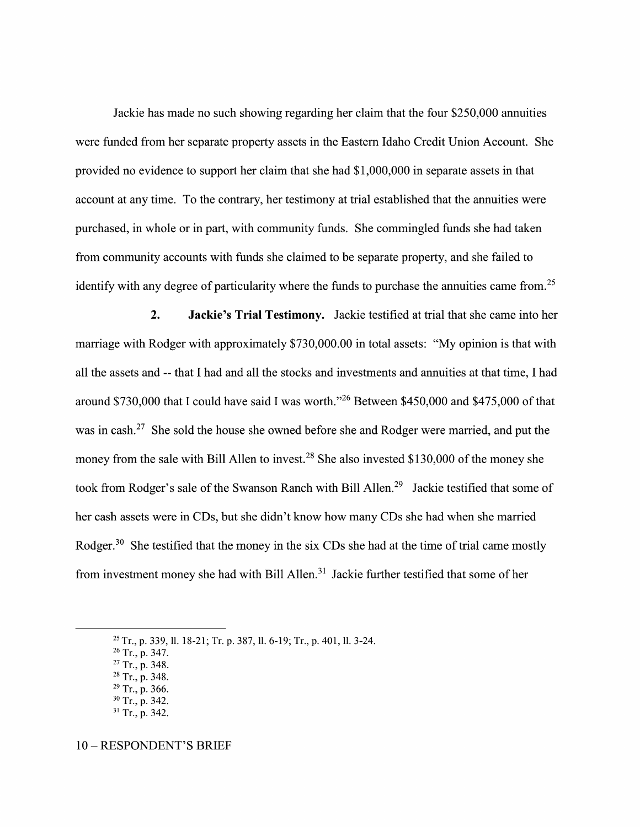Jackie has made no such showing regarding her claim that the four \$250,000 annuities were funded from her separate property assets in the Eastern Idaho Credit Union Account. She provided no evidence to support her claim that she had \$1,000,000 in separate assets in that account at any time. To the contrary, her testimony at trial established that the annuities were purchased, in Whole 0r in part, With community funds. She commingled funds she had taken from community accounts with funds she claimed to be separate property, and she failed to identify with any degree of particularity where the funds to purchase the annuities came from.<sup>25</sup>

2. Jackie's Trial Testimony. Jackie testified at trial that she came into her marriage with Rodger with approximately \$730,000.00 in total assets: "My opinion is that with all the assets and -- that I had and all the stocks and investments and annuities at that time, I had around \$730,000 that I could have said I was worth."<sup>26</sup> Between \$450,000 and \$475,000 of that was in cash. $27$  She sold the house she owned before she and Rodger were married, and put the money from the sale with Bill Allen to invest.<sup>28</sup> She also invested \$130,000 of the money she took from Rodger's sale of the Swanson Ranch with Bill Allen.<sup>29</sup> Jackie testified that some of her cash assets were in CDS, but she didn't know how many CDs she had when she married Rodger.<sup>30</sup> She testified that the money in the six CDs she had at the time of trial came mostly from investment money she had with Bill Allen.<sup>31</sup> Jackie further testified that some of her

- <sup>26</sup> Tr., p. 347.
- $27$  Tr., p. 348.
- <sup>28</sup> Tr., p. 348.  $29$  Tr., p. 366.
- 30 Tr., p. 342.
- $31$  Tr., p. 342.

10 – RESPONDENT'S BRIEF

 $^{25}$  Tr., p. 339, 11, 18-21; Tr. p. 387, 11, 6-19; Tr., p. 401, 11, 3-24.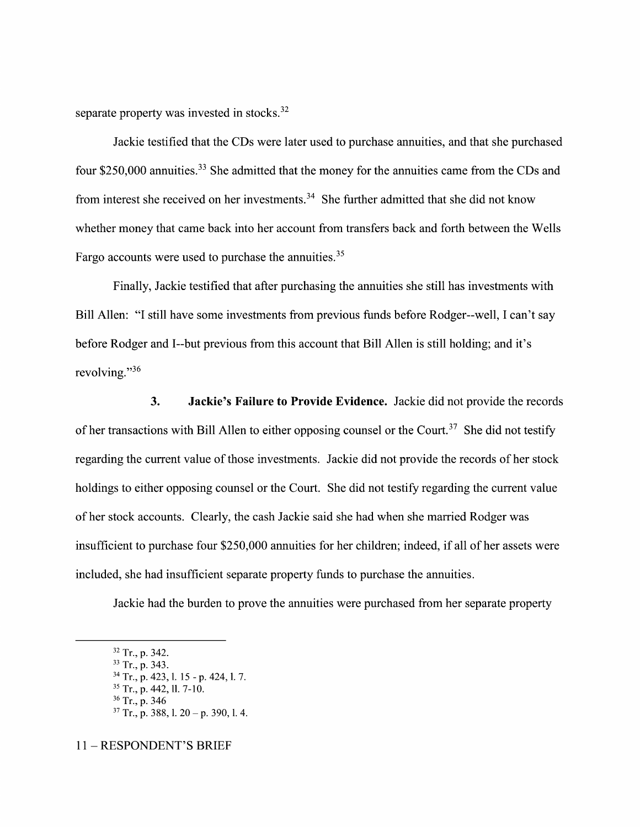separate property was invested in stocks. $32$ 

Jackie testified that the CDs were later used t0 purchase annuities, and that she purchased four  $$250,000$  annuities.<sup>33</sup> She admitted that the money for the annuities came from the CDs and from interest she received on her investments.<sup>34</sup> She further admitted that she did not know Whether money that came back into her account from transfers back and forth between the Wells Fargo accounts were used to purchase the annuities.<sup>35</sup>

Finally, Jackie testified that after purchasing the annuities she still has investments With Bill Allen: "I still have some investments from previous funds before Rodger--well, I can't say before Rodger and I--but previous from this account that Bill Allen is still holding; and it's revolving."<sup>36</sup>

3. Jackie's Failure to Provide Evidence. Jackie did not provide the records of her transactions with Bill Allen to either opposing counsel or the Court.<sup>37</sup> She did not testify regarding the current value of those investments. Jackie did not provide the records of her stock holdings to either opposing counsel or the Court. She did not testify regarding the current value 0f her stock accounts. Clearly, the cash Jackie said she had When she married Rodger was insufficient to purchase four \$250,000 annuities for her children; indeed, if all of her assets were included, she had insufficient separate property funds to purchase the annuities.

Jackie had the burden to prove the annuities were purchased from her separate property

<sup>11</sup> RESPONDENT'S BRIEF

 $32$  Tr., p. 342.

<sup>&</sup>lt;sup>33</sup> Tr., p. 343.

 $34$  Tr., p. 423, l. 15 - p. 424, l. 7.  $35$  Tr., p. 442, 11, 7-10.

 $36$  Tr., p. 346

 $37$  Tr., p. 388, 1. 20 – p. 390, 1. 4.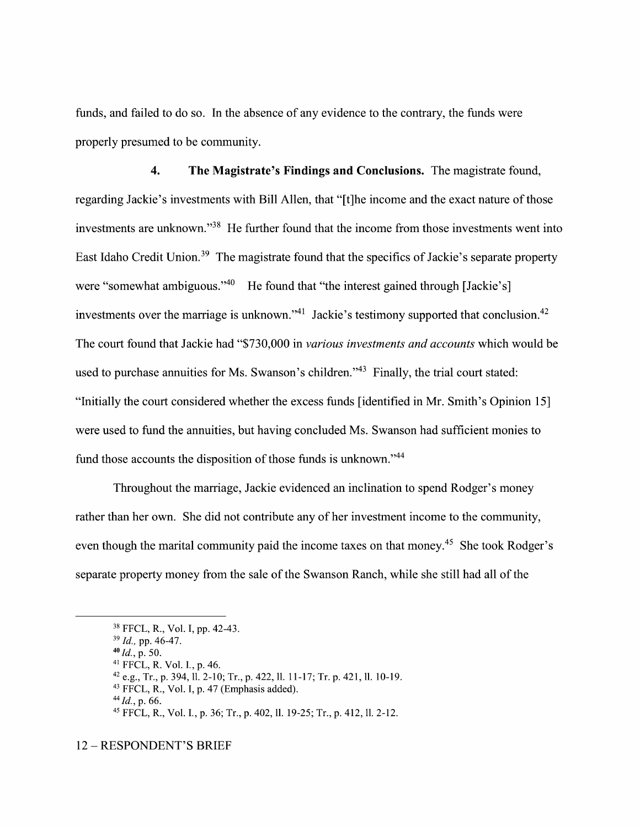funds, and failed to do so. In the absence of any evidence to the contrary, the funds were properly presumed t0 be community.

4. The Magistrate's Findings and Conclusions. The magistrate found, regarding Jackie's investments with Bill Allen, that "[t]he income and the exact nature of those investments are unknown."38 He further found that the income from those investments went into East Idaho Credit Union.<sup>39</sup> The magistrate found that the specifics of Jackie's separate property were "somewhat ambiguous."<sup>40</sup> He found that "the interest gained through [Jackie's] investments over the marriage is unknown."<sup>41</sup> Jackie's testimony supported that conclusion.<sup>42</sup> The court found that Jackie had "\$730,000 in various investments and accounts which would be used to purchase annuities for Ms. Swanson's children."<sup>43</sup> Finally, the trial court stated: "Initially the court considered whether the excess funds [identified in Mr. Smith's Opinion 15] were used to fund the annuities, but having concluded Ms. Swanson had sufficient monies to fund those accounts the disposition of those funds is unknown."<sup>44</sup>

Throughout the marriage, Jackie evidenced an inclination to spend Rodger's money rather than her own. She did not contribute any 0f her investment income to the community, even though the marital community paid the income taxes on that money.<sup>45</sup> She took Rodger's separate property money from the sale of the Swanson Ranch, while she still had all of the

 $40$   $Id., p. 50.$ 

 $42$  e.g., Tr., p. 394, 11. 2-10; Tr., p. 422, 11. 11-17; Tr. p. 421, 11. 10-19.

<sup>38</sup> FFCL, R., V01. 1, pp. 42—43.

<sup>39</sup> Id., pp. 46-47.

<sup>41</sup> FFCL, R. V01. 1., p. 46.

 $43$  FFCL, R., Vol. I, p. 47 (Emphasis added).

 $^{44}$  *Id.*, p. 66.

<sup>45</sup> FFCL, R., Vol. I., p. 36; Tr., p. 402, 11. 19-25; Tr., p. 412, 11. 2-12.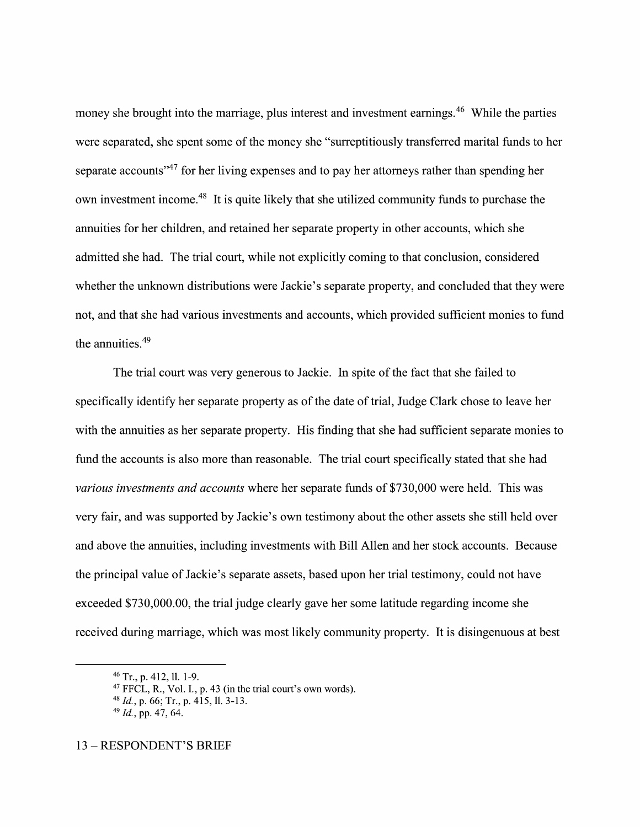money she brought into the marriage, plus interest and investment earnings.<sup>46</sup> While the parties were separated, she spent some of the money she "surreptitiously transferred marital funds to her separate accounts<sup>"47</sup> for her living expenses and to pay her attorneys rather than spending her own investment income.<sup>48</sup> It is quite likely that she utilized community funds to purchase the annuities for her children, and retained her separate property in other accounts, Which she admitted she had. The trial court, While not explicitly coming to that conclusion, considered whether the unknown distributions were Jackie's separate property, and concluded that they were not, and that she had various investments and accounts, Which provided sufficient monies t0 fund the annuities.<sup>49</sup>

The trial court was very generous to Jackie. In spite of the fact that she failed to specifically identify her separate property as of the date of trial, Judge Clark chose to leave her with the annuities as her separate property. His finding that she had sufficient separate monies to fund the accounts is also more than reasonable. The trial court specifically stated that she had various investments and accounts Where her separate funds of \$730,000 were held. This was very fair, and was supported by Jackie's own testimony about the other assets she still held over and above the annuities, including investments With Bill Allen and her stock accounts. Because the principal value of Jackie's separate assets, based upon her trial testimony, could not have exceeded \$730,000.00, the trial judge clearly gave her some latitude regarding income she received during marriage, Which was most likely community property. It is disingenuous at best

 $46$  Tr., p. 412, ll. 1-9.

 $47$  FFCL, R., Vol. I., p. 43 (in the trial court's own words).

 $^{48}$  *Id.*, p. 66; Tr., p. 415, ll. 3-13.

 $49$  *Id.*, pp. 47, 64.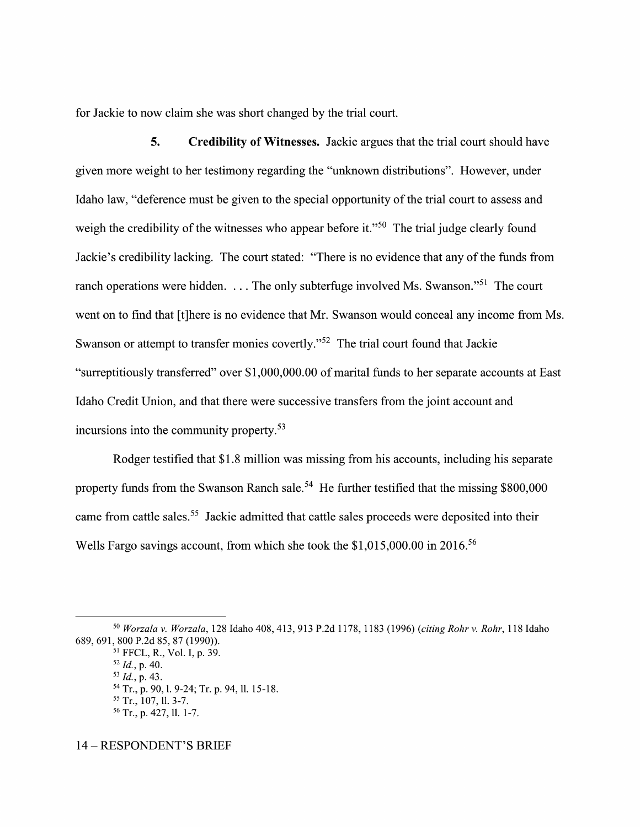for Jackie to now claim she was short changed by the trial court.

5. Credibility 0f Witnesses. Jackie argues that the trial court should have given more weight to her testimony regarding the "unknown distributions". However, under Idaho law, "deference must be given to the special opportunity of the trial court to assess and weigh the credibility of the witnesses who appear before it."<sup>50</sup> The trial judge clearly found Jackie's credibility lacking. The court stated: "There is n0 evidence that any 0f the funds from ranch operations were hidden. . . . The only subterfuge involved Ms. Swanson."51 The court went on to find that [t]here is no evidence that Mr. Swanson would conceal any income from Ms. Swanson or attempt to transfer monies covertly."<sup>52</sup> The trial court found that Jackie "surreptitiously transferred" over \$1,000,000.00 of marital funds to her separate accounts at East Idaho Credit Union, and that there were successive transfers from the joint account and incursions into the community property.53

Rodger testified that \$1.8 million was missing from his accounts, including his separate property funds from the Swanson Ranch sale.<sup>54</sup> He further testified that the missing  $$800,000$ came from cattle sales.<sup>55</sup> Jackie admitted that cattle sales proceeds were deposited into their Wells Fargo savings account, from which she took the \$1,015,000.00 in 2016.<sup>56</sup>

14 – RESPONDENT'S BRIEF

<sup>50</sup> Worzala v. Worzala, 128 Idaho 408, 413, 913 P.2d 1178, 1183 (1996) (citing Rohr v. Rohr, 118 Idaho 689, 691, 800 P.2d 85, 87 (1990)).

<sup>51</sup> FFCL, R., V01. I, p. 39.

 $52$  *Id.*, p. 40.

 $53$  *Id.*, p. 43. <sup>54</sup> Tr., p. 90, l. 9-24; Tr. p. 94, ll. 15-18.

 $55$  Tr., 107, 11, 3-7.

<sup>&</sup>lt;sup>56</sup> Tr., p. 427, ll. 1-7.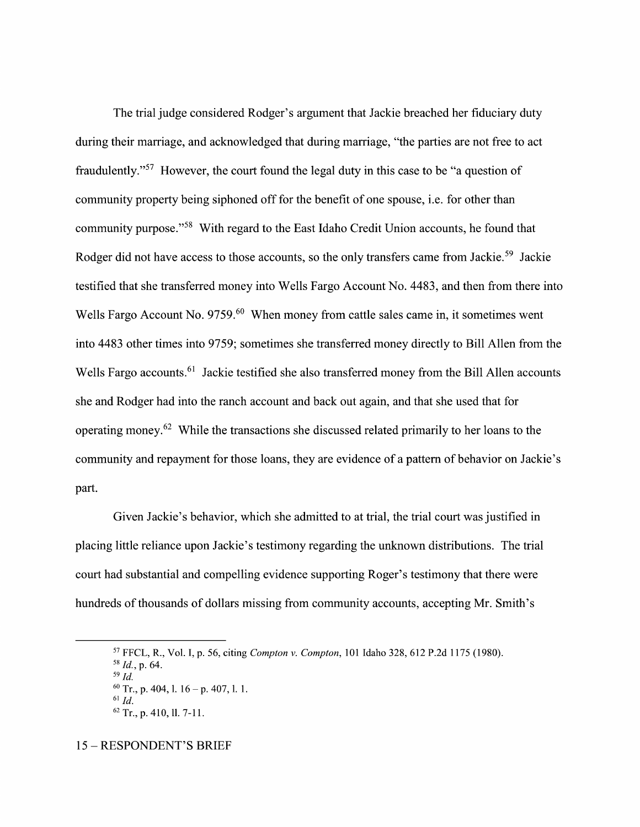The trial judge considered Rodger's argument that Jackie breached her fiduciary duty during their marriage, and acknowledged that during marriage, "the parties are not free to act fraudulently."<sup>57</sup> However, the court found the legal duty in this case to be "a question of community property being siphoned off for the benefit of one spouse, i.e. for other than community purpose."58 With regard t0 the East Idaho Credit Union accounts, he found that Rodger did not have access to those accounts, so the only transfers came from Jackie.<sup>59</sup> Jackie testified that she transferred money into Wells Fargo Account No. 4483, and then from there into Wells Fargo Account No. 9759.<sup>60</sup> When money from cattle sales came in, it sometimes went into 4483 other times into 9759; sometimes she transferred money directly to Bill Allen from the Wells Fargo accounts.<sup>61</sup> Jackie testified she also transferred money from the Bill Allen accounts she and Rodger had into the ranch account and back out again, and that she used that for operating money.<sup>62</sup> While the transactions she discussed related primarily to her loans to the community and repayment for those loans, they are evidence of a pattern of behavior on Jackie's part.

Given Jackie's behavior, Which she admitted to at trial, the trial court was justified in placing little reliance upon Jackie's testimony regarding the unknown distributions. The trial court had substantial and compelling evidence supporting Roger's testimony that there were hundreds of thousands of dollars missing from community accounts, accepting Mr. Smith's

<sup>57</sup> FFCL, R., V01. I, p. 56, citing Compton v. Compton, 101 Idaho 328, 612 P.2d 1175 (1980).

 $58$  *Id.*, p. 64.  $59$  Id.

 $^{60}$  Tr., p. 404, l. 16 – p. 407, l. 1.

 $61$   $Id.$ 

 $62$  Tr., p. 410, ll. 7-11.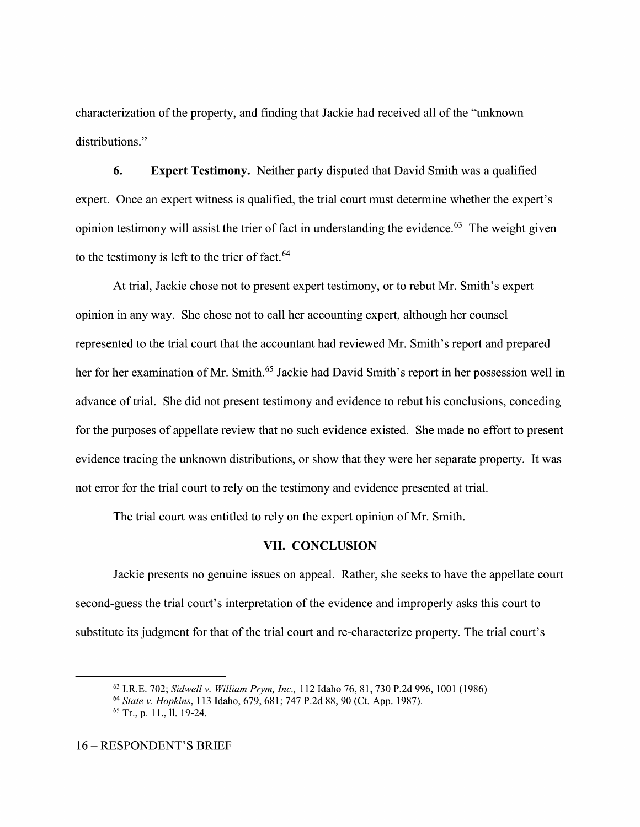characterization 0f the property, and finding that Jackie had received all 0f the "unknown distributions."

6. Expert Testimony. Neither party disputed that David Smith was a qualified expert. Once an expert witness is qualified, the trial court must determine whether the expert's opinion testimony will assist the trier of fact in understanding the evidence.<sup>63</sup> The weight given to the testimony is left to the trier of fact. $64$ 

At trial, Jackie chose not to present expert testimony, or to rebut Mr. Smith's expert opinion in any way. She chose not t0 call her accounting expert, although her counsel represented t0 the trial court that the accountant had reviewed Mr. Smith's report and prepared her for her examination of Mr. Smith.<sup>65</sup> Jackie had David Smith's report in her possession well in advance of trial. She did not present testimony and evidence to rebut his conclusions, conceding for the purposes of appellate review that no such evidence existed. She made no effort to present evidence tracing the unknown distributions, or show that they were her separate property. It was not error for the trial court to rely on the testimony and evidence presented at trial.

The trial court was entitled to rely on the expert opinion of Mr. Smith.

### VII. CONCLUSION

Jackie presents no genuine issues 0n appeal. Rather, she seeks to have the appellate court second-guess the trial court's interpretation of the evidence and improperly asks this court to substitute its judgment for that of the trial court and re-characterize property. The trial court's

<sup>63</sup> I.R.E. 702; Sidwell v. William Prym, Inc., 112 Idaho 76, 81, 730 P.2d 996, 1001 (1986)

<sup>64</sup> State v. Hopkins, 113 Idaho, 679, 681; 747 P.2d 88, 90 (Ct. App. 1987).

 $65$  Tr., p. 11., 11. 19-24.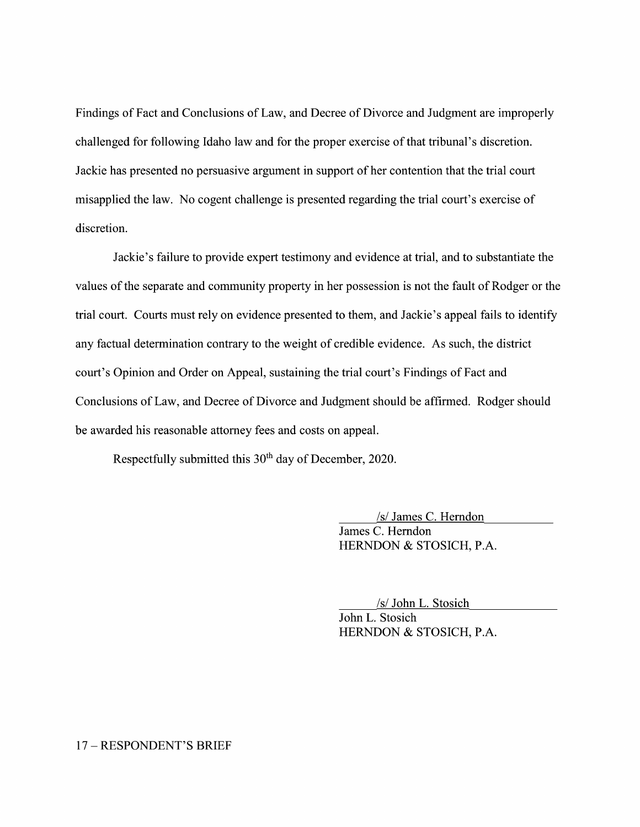Findings of Fact and Conclusions 0f Law, and Decree 0f Divorce and Judgment are improperly challenged for following Idaho law and for the proper exercise 0f that tribunal's discretion. Jackie has presented no persuasive argument in support 0f her contention that the trial court misapplied the law. N0 cogent challenge is presented regarding the trial court's exercise 0f discretion.

Jackie's failure to provide expert testimony and evidence at trial, and to substantiate the values of the separate and community property in her possession is not the fault of Rodger or the trial court. Courts must rely on evidence presented to them, and Jackie's appeal fails to identify any factual determination contrary to the weight of credible evidence. As such, the district court's Opinion and Order on Appeal, sustaining the trial court's Findings of Fact and Conclusions 0f Law, and Decree 0f Divorce and Judgment should be affirmed. Rodger should be awarded his reasonable attorney fees and costs on appeal.

Respectfully submitted this 30<sup>th</sup> day of December, 2020.

/s/ James C. Herndon James C. Herndon HERNDON & STOSICH, P.A.

/s/ John L. Stosich John L. Stosich HERNDON & STOSICH, P.A.

#### 17 - RESPONDENT'S BRIEF